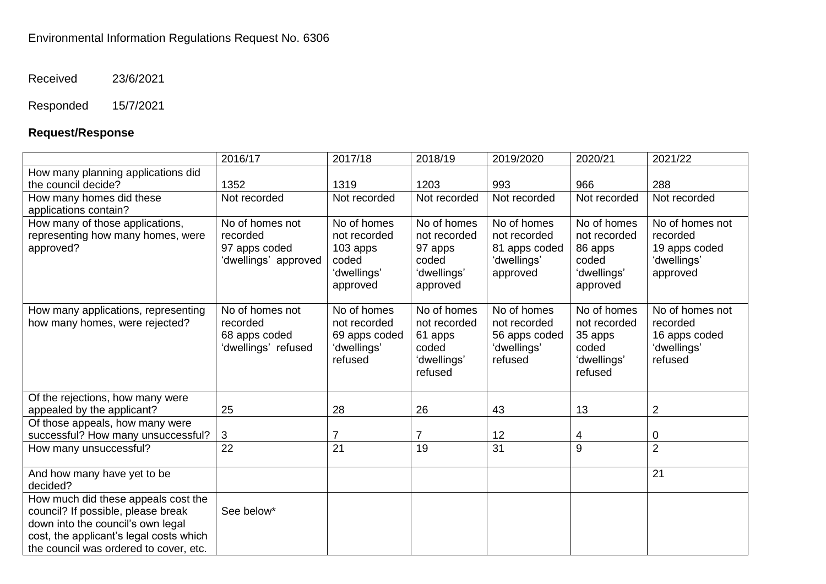Received 23/6/2021

## Responded 15/7/2021

## **Request/Response**

|                                                                                                                                                                                                     | 2016/17                                                              | 2017/18                                                                     | 2018/19                                                                    | 2019/2020                                                               | 2020/21                                                                    | 2021/22                                                                 |
|-----------------------------------------------------------------------------------------------------------------------------------------------------------------------------------------------------|----------------------------------------------------------------------|-----------------------------------------------------------------------------|----------------------------------------------------------------------------|-------------------------------------------------------------------------|----------------------------------------------------------------------------|-------------------------------------------------------------------------|
| How many planning applications did<br>the council decide?                                                                                                                                           | 1352                                                                 | 1319                                                                        | 1203                                                                       | 993                                                                     | 966                                                                        | 288                                                                     |
| How many homes did these<br>applications contain?                                                                                                                                                   | Not recorded                                                         | Not recorded                                                                | Not recorded                                                               | Not recorded                                                            | Not recorded                                                               | Not recorded                                                            |
| How many of those applications,<br>representing how many homes, were<br>approved?                                                                                                                   | No of homes not<br>recorded<br>97 apps coded<br>'dwellings' approved | No of homes<br>not recorded<br>103 apps<br>coded<br>'dwellings'<br>approved | No of homes<br>not recorded<br>97 apps<br>coded<br>'dwellings'<br>approved | No of homes<br>not recorded<br>81 apps coded<br>'dwellings'<br>approved | No of homes<br>not recorded<br>86 apps<br>coded<br>'dwellings'<br>approved | No of homes not<br>recorded<br>19 apps coded<br>'dwellings'<br>approved |
| How many applications, representing<br>how many homes, were rejected?                                                                                                                               | No of homes not<br>recorded<br>68 apps coded<br>'dwellings' refused  | No of homes<br>not recorded<br>69 apps coded<br>'dwellings'<br>refused      | No of homes<br>not recorded<br>61 apps<br>coded<br>'dwellings'<br>refused  | No of homes<br>not recorded<br>56 apps coded<br>'dwellings'<br>refused  | No of homes<br>not recorded<br>35 apps<br>coded<br>'dwellings'<br>refused  | No of homes not<br>recorded<br>16 apps coded<br>'dwellings'<br>refused  |
| Of the rejections, how many were<br>appealed by the applicant?                                                                                                                                      | 25                                                                   | 28                                                                          | 26                                                                         | 43                                                                      | 13                                                                         | $\overline{2}$                                                          |
| Of those appeals, how many were<br>successful? How many unsuccessful?                                                                                                                               | 3                                                                    | $\overline{7}$                                                              | $\overline{7}$                                                             | 12                                                                      | 4                                                                          | 0                                                                       |
| How many unsuccessful?                                                                                                                                                                              | 22                                                                   | 21                                                                          | 19                                                                         | 31                                                                      | 9                                                                          | $\overline{2}$                                                          |
| And how many have yet to be<br>decided?                                                                                                                                                             |                                                                      |                                                                             |                                                                            |                                                                         |                                                                            | 21                                                                      |
| How much did these appeals cost the<br>council? If possible, please break<br>down into the council's own legal<br>cost, the applicant's legal costs which<br>the council was ordered to cover, etc. | See below*                                                           |                                                                             |                                                                            |                                                                         |                                                                            |                                                                         |